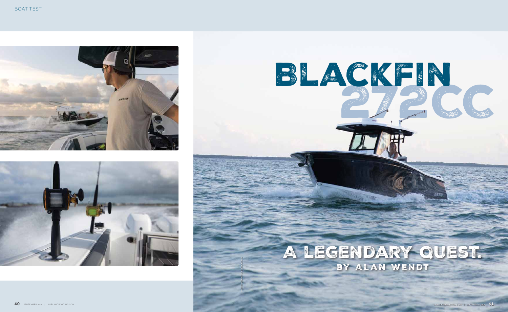